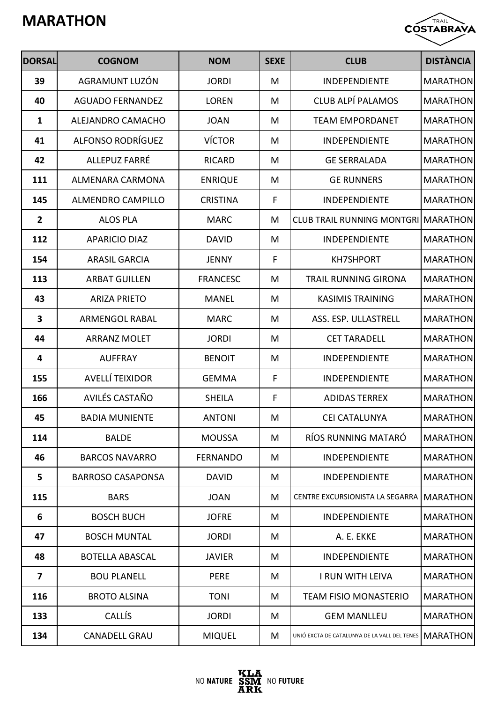

| <b>DORSAL</b>           | <b>COGNOM</b>            | <b>NOM</b>      | <b>SEXE</b> | <b>CLUB</b>                                             | <b>DISTÀNCIA</b> |
|-------------------------|--------------------------|-----------------|-------------|---------------------------------------------------------|------------------|
| 39                      | AGRAMUNT LUZÓN           | <b>JORDI</b>    | M           | <b>INDEPENDIENTE</b>                                    | <b>MARATHON</b>  |
| 40                      | <b>AGUADO FERNANDEZ</b>  | <b>LOREN</b>    | M           | CLUB ALPÍ PALAMOS                                       | <b>MARATHON</b>  |
| $\mathbf{1}$            | ALEJANDRO CAMACHO        | <b>JOAN</b>     | M           | <b>TEAM EMPORDANET</b>                                  | <b>MARATHON</b>  |
| 41                      | ALFONSO RODRÍGUEZ        | <b>VÍCTOR</b>   | M           | <b>INDEPENDIENTE</b>                                    | <b>MARATHON</b>  |
| 42                      | ALLEPUZ FARRÉ            | <b>RICARD</b>   | M           | <b>GE SERRALADA</b>                                     | <b>MARATHON</b>  |
| 111                     | ALMENARA CARMONA         | <b>ENRIQUE</b>  | M           | <b>GE RUNNERS</b>                                       | <b>MARATHON</b>  |
| 145                     | <b>ALMENDRO CAMPILLO</b> | <b>CRISTINA</b> | F           | <b>INDEPENDIENTE</b>                                    | <b>MARATHON</b>  |
| $\overline{2}$          | <b>ALOS PLA</b>          | <b>MARC</b>     | M           | CLUB TRAIL RUNNING MONTGRILMARATHON                     |                  |
| 112                     | <b>APARICIO DIAZ</b>     | <b>DAVID</b>    | M           | <b>INDEPENDIENTE</b>                                    | <b>MARATHON</b>  |
| 154                     | <b>ARASIL GARCIA</b>     | <b>JENNY</b>    | F           | <b>KH7SHPORT</b>                                        | <b>MARATHON</b>  |
| 113                     | <b>ARBAT GUILLEN</b>     | <b>FRANCESC</b> | M           | <b>TRAIL RUNNING GIRONA</b>                             | <b>MARATHON</b>  |
| 43                      | <b>ARIZA PRIETO</b>      | <b>MANEL</b>    | M           | <b>KASIMIS TRAINING</b>                                 | <b>MARATHON</b>  |
| 3                       | <b>ARMENGOL RABAL</b>    | <b>MARC</b>     | M           | ASS. ESP. ULLASTRELL                                    | <b>MARATHON</b>  |
| 44                      | <b>ARRANZ MOLET</b>      | <b>JORDI</b>    | M           | <b>CET TARADELL</b>                                     | <b>MARATHON</b>  |
| 4                       | <b>AUFFRAY</b>           | <b>BENOIT</b>   | M           | <b>INDEPENDIENTE</b>                                    | <b>MARATHON</b>  |
| 155                     | AVELLÍ TEIXIDOR          | <b>GEMMA</b>    | F           | <b>INDEPENDIENTE</b>                                    | <b>MARATHON</b>  |
| 166                     | AVILÉS CASTAÑO           | <b>SHEILA</b>   | F           | <b>ADIDAS TERREX</b>                                    | <b>MARATHON</b>  |
| 45                      | <b>BADIA MUNIENTE</b>    | <b>ANTONI</b>   | M           | CEI CATALUNYA                                           | <b>MARATHON</b>  |
| 114                     | <b>BALDE</b>             | <b>MOUSSA</b>   | M           | RÍOS RUNNING MATARÓ                                     | <b>MARATHON</b>  |
| 46                      | <b>BARCOS NAVARRO</b>    | <b>FERNANDO</b> | M           | <b>INDEPENDIENTE</b>                                    | <b>MARATHON</b>  |
| 5                       | <b>BARROSO CASAPONSA</b> | <b>DAVID</b>    | M           | <b>INDEPENDIENTE</b>                                    | <b>MARATHON</b>  |
| 115                     | <b>BARS</b>              | <b>JOAN</b>     | M           | CENTRE EXCURSIONISTA LA SEGARRA MARATHON                |                  |
| 6                       | <b>BOSCH BUCH</b>        | <b>JOFRE</b>    | M           | INDEPENDIENTE                                           | <b>MARATHON</b>  |
| 47                      | <b>BOSCH MUNTAL</b>      | <b>JORDI</b>    | M           | A. E. EKKE                                              | <b>MARATHON</b>  |
| 48                      | <b>BOTELLA ABASCAL</b>   | <b>JAVIER</b>   | M           | INDEPENDIENTE                                           | <b>MARATHON</b>  |
| $\overline{\mathbf{z}}$ | <b>BOU PLANELL</b>       | <b>PERE</b>     | M           | I RUN WITH LEIVA                                        | <b>MARATHON</b>  |
| 116                     | <b>BROTO ALSINA</b>      | <b>TONI</b>     | M           | <b>TEAM FISIO MONASTERIO</b>                            | <b>MARATHON</b>  |
| 133                     | CALLÍS                   | <b>JORDI</b>    | M           | <b>GEM MANLLEU</b>                                      | <b>MARATHON</b>  |
| 134                     | <b>CANADELL GRAU</b>     | <b>MIQUEL</b>   | M           | UNIÓ EXCTA DE CATALUNYA DE LA VALL DEL TENES   MARATHON |                  |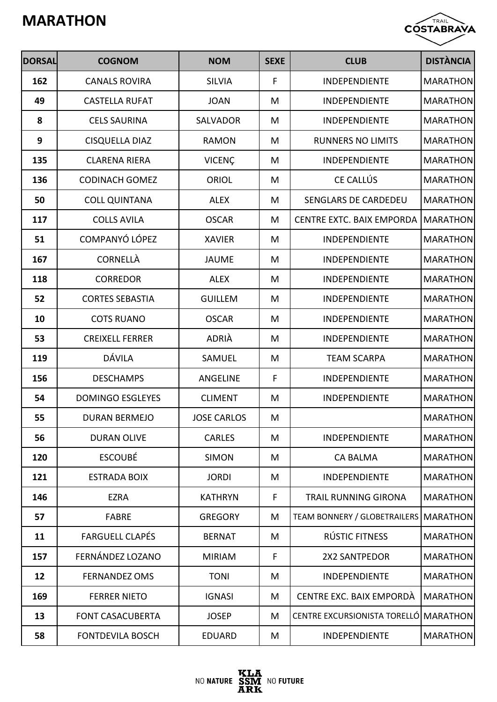

| <b>DORSAL</b> | <b>COGNOM</b>           | <b>NOM</b>         | <b>SEXE</b> | <b>CLUB</b>                             | <b>DISTÀNCIA</b> |
|---------------|-------------------------|--------------------|-------------|-----------------------------------------|------------------|
| 162           | <b>CANALS ROVIRA</b>    | <b>SILVIA</b>      | F           | INDEPENDIENTE                           | <b>MARATHON</b>  |
| 49            | <b>CASTELLA RUFAT</b>   | <b>JOAN</b>        | M           | <b>INDEPENDIENTE</b>                    | <b>MARATHON</b>  |
| 8             | <b>CELS SAURINA</b>     | SALVADOR           | M           | <b>INDEPENDIENTE</b>                    | <b>MARATHON</b>  |
| 9             | <b>CISQUELLA DIAZ</b>   | <b>RAMON</b>       | M           | <b>RUNNERS NO LIMITS</b>                | <b>MARATHON</b>  |
| 135           | <b>CLARENA RIERA</b>    | <b>VICENÇ</b>      | M           | <b>INDEPENDIENTE</b>                    | <b>MARATHON</b>  |
| 136           | <b>CODINACH GOMEZ</b>   | <b>ORIOL</b>       | M           | CE CALLÚS                               | <b>MARATHON</b>  |
| 50            | <b>COLL QUINTANA</b>    | <b>ALEX</b>        | M           | <b>SENGLARS DE CARDEDEU</b>             | <b>MARATHON</b>  |
| 117           | <b>COLLS AVILA</b>      | <b>OSCAR</b>       | M           | <b>CENTRE EXTC. BAIX EMPORDA</b>        | <b>MARATHON</b>  |
| 51            | COMPANYÓ LÓPEZ          | <b>XAVIER</b>      | M           | <b>INDEPENDIENTE</b>                    | <b>MARATHON</b>  |
| 167           | <b>CORNELLÀ</b>         | <b>JAUME</b>       | M           | <b>INDEPENDIENTE</b>                    | <b>MARATHON</b>  |
| 118           | <b>CORREDOR</b>         | <b>ALEX</b>        | M           | <b>INDEPENDIENTE</b>                    | <b>MARATHON</b>  |
| 52            | <b>CORTES SEBASTIA</b>  | <b>GUILLEM</b>     | M           | <b>INDEPENDIENTE</b>                    | <b>MARATHON</b>  |
| 10            | <b>COTS RUANO</b>       | <b>OSCAR</b>       | M           | <b>INDEPENDIENTE</b>                    | <b>MARATHON</b>  |
| 53            | <b>CREIXELL FERRER</b>  | <b>ADRIÀ</b>       | M           | <b>INDEPENDIENTE</b>                    | <b>MARATHON</b>  |
| 119           | DÁVILA                  | SAMUEL             | M           | <b>TEAM SCARPA</b>                      | <b>MARATHON</b>  |
| 156           | <b>DESCHAMPS</b>        | <b>ANGELINE</b>    | F           | <b>INDEPENDIENTE</b>                    | <b>MARATHON</b>  |
| 54            | <b>DOMINGO ESGLEYES</b> | <b>CLIMENT</b>     | M           | <b>INDEPENDIENTE</b>                    | <b>MARATHON</b>  |
| 55            | <b>DURAN BERMEJO</b>    | <b>JOSE CARLOS</b> | M           |                                         | <b>MARATHON</b>  |
| 56            | <b>DURAN OLIVE</b>      | <b>CARLES</b>      | M           | <b>INDEPENDIENTE</b>                    | <b>MARATHON</b>  |
| 120           | <b>ESCOUBÉ</b>          | <b>SIMON</b>       | M           | <b>CA BALMA</b>                         | <b>MARATHON</b>  |
| 121           | <b>ESTRADA BOIX</b>     | <b>JORDI</b>       | M           | INDEPENDIENTE                           | <b>MARATHON</b>  |
| 146           | <b>EZRA</b>             | <b>KATHRYN</b>     | F           | <b>TRAIL RUNNING GIRONA</b>             | <b>MARATHON</b>  |
| 57            | <b>FABRE</b>            | <b>GREGORY</b>     | M           | TEAM BONNERY / GLOBETRAILERS   MARATHON |                  |
| 11            | <b>FARGUELL CLAPÉS</b>  | <b>BERNAT</b>      | M           | RÚSTIC FITNESS                          | <b>MARATHON</b>  |
| 157           | FERNÁNDEZ LOZANO        | <b>MIRIAM</b>      | F           | 2X2 SANTPEDOR                           | <b>MARATHON</b>  |
| 12            | <b>FERNANDEZ OMS</b>    | <b>TONI</b>        | M           | INDEPENDIENTE                           | <b>MARATHON</b>  |
| 169           | <b>FERRER NIETO</b>     | <b>IGNASI</b>      | M           | CENTRE EXC. BAIX EMPORDÀ                | <b>MARATHON</b>  |
| 13            | <b>FONT CASACUBERTA</b> | <b>JOSEP</b>       | M           | CENTRE EXCURSIONISTA TORELLÓ MARATHON   |                  |
| 58            | <b>FONTDEVILA BOSCH</b> | <b>EDUARD</b>      | M           | INDEPENDIENTE                           | <b>MARATHON</b>  |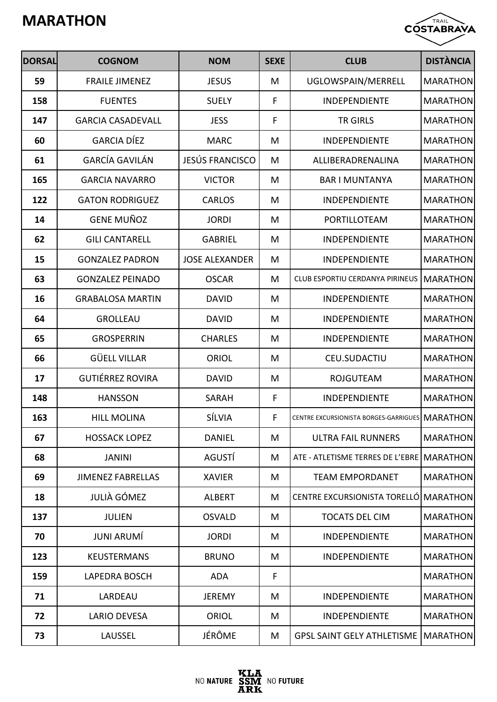

| <b>DORSAL</b> | <b>COGNOM</b>            | <b>NOM</b>             | <b>SEXE</b> | <b>CLUB</b>                                      | <b>DISTÀNCIA</b> |
|---------------|--------------------------|------------------------|-------------|--------------------------------------------------|------------------|
| 59            | <b>FRAILE JIMENEZ</b>    | <b>JESUS</b>           | M           | UGLOWSPAIN/MERRELL                               | <b>MARATHON</b>  |
| 158           | <b>FUENTES</b>           | <b>SUELY</b>           | F           | INDEPENDIENTE                                    | <b>MARATHON</b>  |
| 147           | <b>GARCIA CASADEVALL</b> | <b>JESS</b>            | F           | TR GIRLS                                         | <b>MARATHON</b>  |
| 60            | <b>GARCIA DÍEZ</b>       | <b>MARC</b>            | M           | <b>INDEPENDIENTE</b>                             | <b>MARATHON</b>  |
| 61            | <b>GARCÍA GAVILÁN</b>    | <b>JESÚS FRANCISCO</b> | M           | ALLIBERADRENALINA                                | <b>MARATHON</b>  |
| 165           | <b>GARCIA NAVARRO</b>    | <b>VICTOR</b>          | M           | <b>BAR I MUNTANYA</b>                            | <b>MARATHON</b>  |
| 122           | <b>GATON RODRIGUEZ</b>   | <b>CARLOS</b>          | M           | <b>INDEPENDIENTE</b>                             | <b>MARATHON</b>  |
| 14            | <b>GENE MUÑOZ</b>        | <b>JORDI</b>           | M           | PORTILLOTEAM                                     | <b>MARATHON</b>  |
| 62            | <b>GILI CANTARELL</b>    | <b>GABRIEL</b>         | M           | INDEPENDIENTE                                    | <b>MARATHON</b>  |
| 15            | <b>GONZALEZ PADRON</b>   | <b>JOSE ALEXANDER</b>  | M           | INDEPENDIENTE                                    | <b>MARATHON</b>  |
| 63            | <b>GONZALEZ PEINADO</b>  | <b>OSCAR</b>           | M           | <b>CLUB ESPORTIU CERDANYA PIRINEUS</b>           | <b>MARATHON</b>  |
| 16            | <b>GRABALOSA MARTIN</b>  | <b>DAVID</b>           | M           | <b>INDEPENDIENTE</b>                             | <b>MARATHON</b>  |
| 64            | <b>GROLLEAU</b>          | <b>DAVID</b>           | M           | INDEPENDIENTE                                    | <b>MARATHON</b>  |
| 65            | <b>GROSPERRIN</b>        | <b>CHARLES</b>         | M           | INDEPENDIENTE                                    | <b>MARATHON</b>  |
| 66            | <b>GÜELL VILLAR</b>      | <b>ORIOL</b>           | M           | CEU.SUDACTIU                                     | <b>MARATHON</b>  |
| 17            | <b>GUTIÉRREZ ROVIRA</b>  | <b>DAVID</b>           | M           | <b>ROJGUTEAM</b>                                 | <b>MARATHON</b>  |
| 148           | <b>HANSSON</b>           | <b>SARAH</b>           | F           | INDEPENDIENTE                                    | <b>MARATHON</b>  |
| 163           | <b>HILL MOLINA</b>       | SÍLVIA                 | F           | CENTRE EXCURSIONISTA BORGES-GARRIGUES   MARATHON |                  |
| 67            | <b>HOSSACK LOPEZ</b>     | <b>DANIEL</b>          | M           | <b>ULTRA FAIL RUNNERS</b>                        | <b>MARATHON</b>  |
| 68            | <b>JANINI</b>            | AGUSTÍ                 | M           | ATE - ATLETISME TERRES DE L'EBRE   MARATHON      |                  |
| 69            | <b>JIMENEZ FABRELLAS</b> | <b>XAVIER</b>          | M           | <b>TEAM EMPORDANET</b>                           | <b>MARATHON</b>  |
| 18            | <b>JULIÀ GÓMEZ</b>       | <b>ALBERT</b>          | M           | CENTRE EXCURSIONISTA TORELLÓ MARATHON            |                  |
| 137           | <b>JULIEN</b>            | <b>OSVALD</b>          | M           | <b>TOCATS DEL CIM</b>                            | <b>MARATHON</b>  |
| 70            | <b>JUNI ARUMÍ</b>        | <b>JORDI</b>           | M           | <b>INDEPENDIENTE</b>                             | <b>MARATHON</b>  |
| 123           | <b>KEUSTERMANS</b>       | <b>BRUNO</b>           | M           | <b>INDEPENDIENTE</b>                             | <b>MARATHON</b>  |
| 159           | <b>LAPEDRA BOSCH</b>     | <b>ADA</b>             | F           |                                                  | <b>MARATHON</b>  |
| 71            | LARDEAU                  | <b>JEREMY</b>          | M           | <b>INDEPENDIENTE</b>                             | <b>MARATHON</b>  |
| 72            | LARIO DEVESA             | <b>ORIOL</b>           | M           | <b>INDEPENDIENTE</b>                             | <b>MARATHON</b>  |
| 73            | LAUSSEL                  | JÉRÔME                 | M           | <b>GPSL SAINT GELY ATHLETISME   MARATHON</b>     |                  |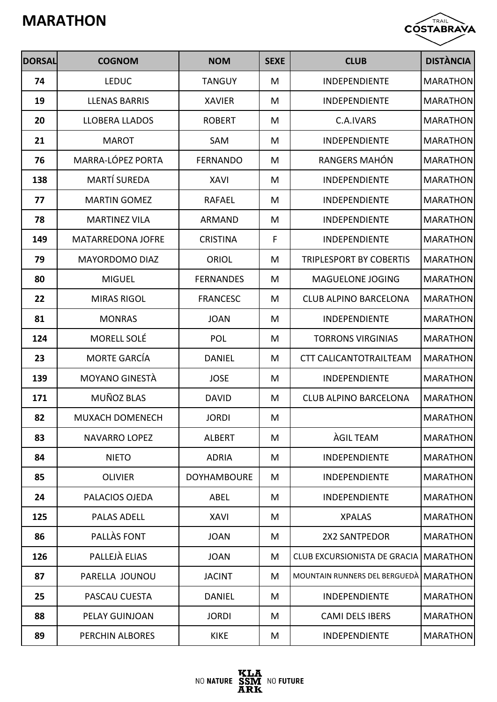

| <b>DORSAL</b> | <b>COGNOM</b>            | <b>NOM</b>         | <b>SEXE</b> | <b>CLUB</b>                             | <b>DISTÀNCIA</b> |
|---------------|--------------------------|--------------------|-------------|-----------------------------------------|------------------|
| 74            | <b>LEDUC</b>             | <b>TANGUY</b>      | M           | <b>INDEPENDIENTE</b>                    | <b>MARATHON</b>  |
| 19            | <b>LLENAS BARRIS</b>     | <b>XAVIER</b>      | M           | <b>INDEPENDIENTE</b>                    | <b>MARATHON</b>  |
| 20            | <b>LLOBERA LLADOS</b>    | <b>ROBERT</b>      | M           | C.A.IVARS                               | <b>MARATHON</b>  |
| 21            | <b>MAROT</b>             | SAM                | M           | <b>INDEPENDIENTE</b>                    | <b>MARATHON</b>  |
| 76            | MARRA-LÓPEZ PORTA        | <b>FERNANDO</b>    | M           | RANGERS MAHÓN                           | <b>MARATHON</b>  |
| 138           | <b>MARTÍ SUREDA</b>      | <b>XAVI</b>        | M           | <b>INDEPENDIENTE</b>                    | <b>MARATHON</b>  |
| 77            | <b>MARTIN GOMEZ</b>      | <b>RAFAEL</b>      | M           | <b>INDEPENDIENTE</b>                    | <b>MARATHON</b>  |
| 78            | <b>MARTINEZ VILA</b>     | ARMAND             | M           | <b>INDEPENDIENTE</b>                    | <b>MARATHON</b>  |
| 149           | <b>MATARREDONA JOFRE</b> | <b>CRISTINA</b>    | F           | <b>INDEPENDIENTE</b>                    | <b>MARATHON</b>  |
| 79            | <b>MAYORDOMO DIAZ</b>    | <b>ORIOL</b>       | M           | <b>TRIPLESPORT BY COBERTIS</b>          | <b>MARATHON</b>  |
| 80            | <b>MIGUEL</b>            | <b>FERNANDES</b>   | M           | MAGUELONE JOGING                        | <b>MARATHON</b>  |
| 22            | <b>MIRAS RIGOL</b>       | <b>FRANCESC</b>    | M           | <b>CLUB ALPINO BARCELONA</b>            | <b>MARATHON</b>  |
| 81            | <b>MONRAS</b>            | <b>JOAN</b>        | M           | <b>INDEPENDIENTE</b>                    | <b>MARATHON</b>  |
| 124           | MORELL SOLÉ              | <b>POL</b>         | M           | <b>TORRONS VIRGINIAS</b>                | <b>MARATHON</b>  |
| 23            | <b>MORTE GARCÍA</b>      | <b>DANIEL</b>      | M           | <b>CTT CALICANTOTRAILTEAM</b>           | <b>MARATHON</b>  |
| 139           | <b>MOYANO GINESTÀ</b>    | <b>JOSE</b>        | M           | <b>INDEPENDIENTE</b>                    | <b>MARATHON</b>  |
| 171           | MUÑOZ BLAS               | <b>DAVID</b>       | M           | <b>CLUB ALPINO BARCELONA</b>            | <b>MARATHON</b>  |
| 82            | MUXACH DOMENECH          | <b>JORDI</b>       | M           |                                         | <b>MARATHON</b>  |
| 83            | NAVARRO LOPEZ            | <b>ALBERT</b>      | M           | <b>AGIL TEAM</b>                        | <b>MARATHON</b>  |
| 84            | <b>NIETO</b>             | <b>ADRIA</b>       | M           | <b>INDEPENDIENTE</b>                    | <b>MARATHON</b>  |
| 85            | <b>OLIVIER</b>           | <b>DOYHAMBOURE</b> | M           | <b>INDEPENDIENTE</b>                    | <b>MARATHON</b>  |
| 24            | PALACIOS OJEDA           | <b>ABEL</b>        | M           | <b>INDEPENDIENTE</b>                    | <b>MARATHON</b>  |
| 125           | <b>PALAS ADELL</b>       | <b>XAVI</b>        | M           | <b>XPALAS</b>                           | <b>MARATHON</b>  |
| 86            | PALLAS FONT              | <b>JOAN</b>        | M           | 2X2 SANTPEDOR                           | <b>MARATHON</b>  |
| 126           | PALLEJÀ ELIAS            | <b>JOAN</b>        | M           | CLUB EXCURSIONISTA DE GRACIA   MARATHON |                  |
| 87            | PARELLA JOUNOU           | <b>JACINT</b>      | M           | MOUNTAIN RUNNERS DEL BERGUEDÀ MARATHON  |                  |
| 25            | PASCAU CUESTA            | <b>DANIEL</b>      | M           | INDEPENDIENTE                           | <b>MARATHON</b>  |
| 88            | PELAY GUINJOAN           | <b>JORDI</b>       | M           | <b>CAMI DELS IBERS</b>                  | <b>MARATHON</b>  |
| 89            | PERCHIN ALBORES          | <b>KIKE</b>        | M           | INDEPENDIENTE                           | <b>MARATHON</b>  |

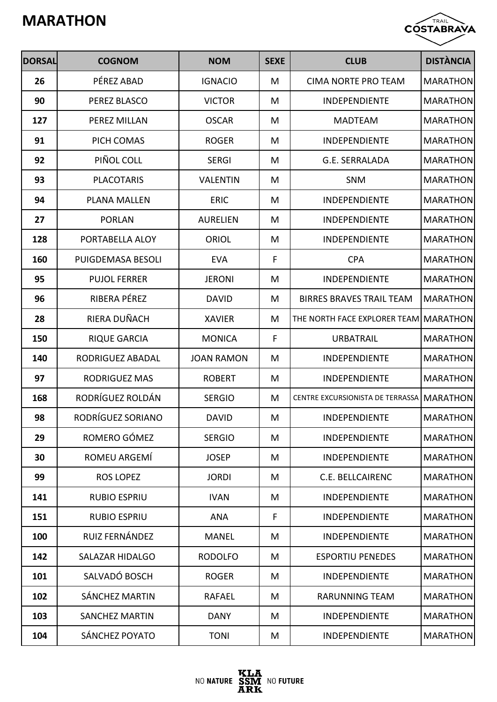

| <b>DORSAL</b> | <b>COGNOM</b>          | <b>NOM</b>        | <b>SEXE</b> | <b>CLUB</b>                           | <b>DISTÀNCIA</b> |
|---------------|------------------------|-------------------|-------------|---------------------------------------|------------------|
| 26            | PÉREZ ABAD             | <b>IGNACIO</b>    | M           | <b>CIMA NORTE PRO TEAM</b>            | <b>MARATHON</b>  |
| 90            | PEREZ BLASCO           | <b>VICTOR</b>     | M           | INDEPENDIENTE                         | <b>MARATHON</b>  |
| 127           | PEREZ MILLAN           | <b>OSCAR</b>      | M           | <b>MADTEAM</b>                        | <b>MARATHON</b>  |
| 91            | PICH COMAS             | <b>ROGER</b>      | M           | <b>INDEPENDIENTE</b>                  | <b>MARATHON</b>  |
| 92            | PIÑOL COLL             | <b>SERGI</b>      | M           | G.E. SERRALADA                        | <b>MARATHON</b>  |
| 93            | <b>PLACOTARIS</b>      | <b>VALENTIN</b>   | M           | <b>SNM</b>                            | <b>MARATHON</b>  |
| 94            | <b>PLANA MALLEN</b>    | <b>ERIC</b>       | M           | <b>INDEPENDIENTE</b>                  | <b>MARATHON</b>  |
| 27            | <b>PORLAN</b>          | <b>AURELIEN</b>   | M           | INDEPENDIENTE                         | <b>MARATHON</b>  |
| 128           | PORTABELLA ALOY        | <b>ORIOL</b>      | M           | INDEPENDIENTE                         | <b>MARATHON</b>  |
| 160           | PUIGDEMASA BESOLI      | <b>EVA</b>        | F           | <b>CPA</b>                            | <b>MARATHON</b>  |
| 95            | <b>PUJOL FERRER</b>    | <b>JERONI</b>     | M           | INDEPENDIENTE                         | <b>MARATHON</b>  |
| 96            | RIBERA PÉREZ           | <b>DAVID</b>      | M           | <b>BIRRES BRAVES TRAIL TEAM</b>       | <b>MARATHON</b>  |
| 28            | RIERA DUÑACH           | <b>XAVIER</b>     | M           | THE NORTH FACE EXPLORER TEAM MARATHON |                  |
| 150           | <b>RIQUE GARCIA</b>    | <b>MONICA</b>     | F           | <b>URBATRAIL</b>                      | <b>MARATHON</b>  |
| 140           | RODRIGUEZ ABADAL       | <b>JOAN RAMON</b> | M           | <b>INDEPENDIENTE</b>                  | <b>MARATHON</b>  |
| 97            | <b>RODRIGUEZ MAS</b>   | <b>ROBERT</b>     | M           | <b>INDEPENDIENTE</b>                  | <b>MARATHON</b>  |
| 168           | RODRÍGUEZ ROLDÁN       | <b>SERGIO</b>     | M           | CENTRE EXCURSIONISTA DE TERRASSA      | <b>MARATHON</b>  |
| 98            | RODRÍGUEZ SORIANO      | <b>DAVID</b>      | M           | <b>INDEPENDIENTE</b>                  | <b>MARATHON</b>  |
| 29            | ROMERO GÓMEZ           | <b>SERGIO</b>     | M           | <b>INDEPENDIENTE</b>                  | <b>MARATHON</b>  |
| 30            | ROMEU ARGEMÍ           | <b>JOSEP</b>      | M           | <b>INDEPENDIENTE</b>                  | <b>MARATHON</b>  |
| 99            | <b>ROS LOPEZ</b>       | <b>JORDI</b>      | M           | <b>C.E. BELLCAIRENC</b>               | <b>MARATHON</b>  |
| 141           | <b>RUBIO ESPRIU</b>    | <b>IVAN</b>       | M           | INDEPENDIENTE                         | <b>MARATHON</b>  |
| 151           | <b>RUBIO ESPRIU</b>    | <b>ANA</b>        | F           | INDEPENDIENTE                         | <b>MARATHON</b>  |
| 100           | RUIZ FERNÁNDEZ         | <b>MANEL</b>      | M           | INDEPENDIENTE                         | <b>MARATHON</b>  |
| 142           | <b>SALAZAR HIDALGO</b> | <b>RODOLFO</b>    | M           | <b>ESPORTIU PENEDES</b>               | <b>MARATHON</b>  |
| 101           | SALVADÓ BOSCH          | <b>ROGER</b>      | M           | INDEPENDIENTE                         | <b>MARATHON</b>  |
| 102           | <b>SÁNCHEZ MARTIN</b>  | <b>RAFAEL</b>     | M           | <b>RARUNNING TEAM</b>                 | <b>MARATHON</b>  |
| 103           | <b>SANCHEZ MARTIN</b>  | <b>DANY</b>       | M           | <b>INDEPENDIENTE</b>                  | <b>MARATHON</b>  |
| 104           | SÁNCHEZ POYATO         | <b>TONI</b>       | M           | INDEPENDIENTE                         | <b>MARATHON</b>  |